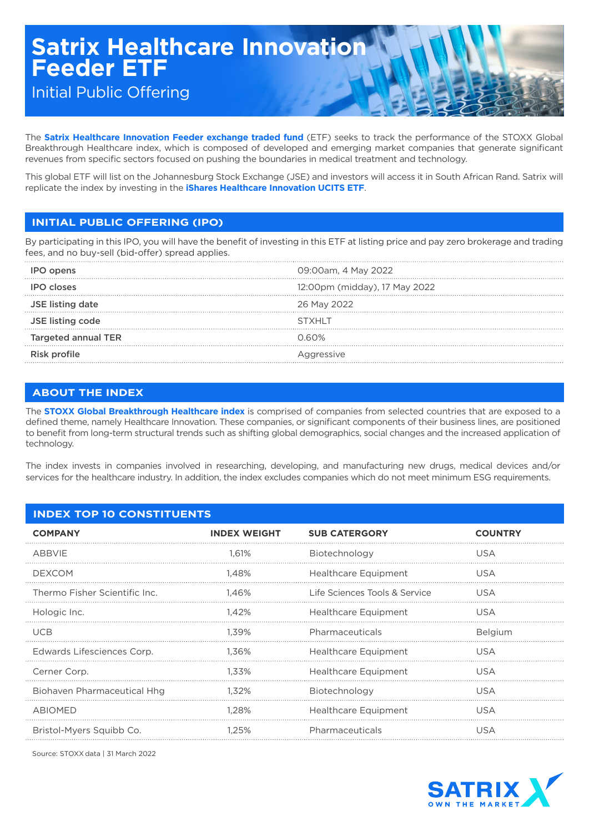# **Satrix Healthcare Innovation Feeder ETF**

Initial Public Offering

The **Satrix Healthcare Innovation Feeder exchange traded fund** (ETF) seeks to track the performance of the STOXX Global Breakthrough Healthcare index, which is composed of developed and emerging market companies that generate significant revenues from specific sectors focused on pushing the boundaries in medical treatment and technology.

This global ETF will list on the Johannesburg Stock Exchange (JSE) and investors will access it in South African Rand. Satrix will replicate the index by investing in the **iShares Healthcare Innovation UCITS ETF**.

## **INITIAL PUBLIC OFFERING (IPO)**

By participating in this IPO, you will have the benefit of investing in this ETF at listing price and pay zero brokerage and trading fees, and no buy-sell (bid-offer) spread applies.

| <b>IPO</b> opens           | 09:00am, 4 May 2022           |
|----------------------------|-------------------------------|
| <b>IPO closes</b>          | 12:00pm (midday), 17 May 2022 |
| <b>JSE listing date</b>    | 26 May 2022                   |
| JSE listing code           | STXHI T                       |
| <b>Targeted annual TER</b> | <u>N 60% </u>                 |
| Risk profile               | Aggressive                    |

## **ABOUT THE INDEX**

The **STOXX Global Breakthrough Healthcare index** is comprised of companies from selected countries that are exposed to a defined theme, namely Healthcare Innovation. These companies, or significant components of their business lines, are positioned to benefit from long-term structural trends such as shifting global demographics, social changes and the increased application of technology.

The index invests in companies involved in researching, developing, and manufacturing new drugs, medical devices and/or services for the healthcare industry. In addition, the index excludes companies which do not meet minimum ESG requirements.

| <b>INDEX TOP 10 CONSTITUENTS</b>   |                     |                               |                |  |
|------------------------------------|---------------------|-------------------------------|----------------|--|
| <b>COMPANY</b>                     | <b>INDEX WEIGHT</b> | <b>SUB CATERGORY</b>          | <b>COUNTRY</b> |  |
| ABBVIE                             | 1.61%               | Biotechnology                 | <b>USA</b>     |  |
| <b>DEXCOM</b>                      | 1.48%               | Healthcare Equipment          | <b>USA</b>     |  |
| Thermo Fisher Scientific Inc.      | 1.46%               | Life Sciences Tools & Service | <b>USA</b>     |  |
| Hologic Inc.                       | 1.42%               | Healthcare Equipment          | USA            |  |
| <b>UCB</b>                         | 1.39%               | Pharmaceuticals               | Belgium        |  |
| Edwards Lifesciences Corp.         | 1.36%               | Healthcare Equipment          | USA            |  |
| Cerner Corp.                       | 1.33%               | <b>Healthcare Equipment</b>   | USA            |  |
| <b>Biohaven Pharmaceutical Hhg</b> | 1.32%               | Biotechnology                 | <b>USA</b>     |  |
| <b>ABIOMED</b>                     | 1.28%               | Healthcare Equipment          | USA            |  |
| Bristol-Myers Squibb Co.           | 1.25%               | Pharmaceuticals               | <b>USA</b>     |  |

Source: STOXX data | 31 March 2022